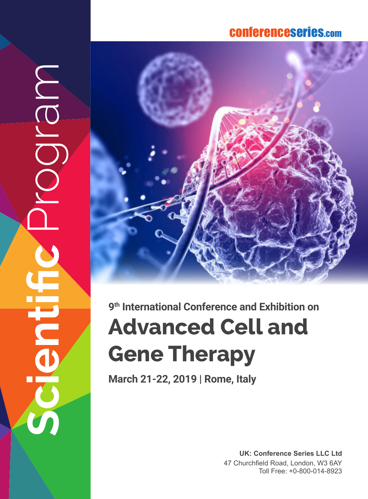## conferenceserie s.co m

MBJD **Scientific** Program **PLLE** 



# **Advanced Cell and 9th International Conference and Exhibition on<br>Advanced Cell and<br>Gene Therapy**

**March 21-22, 2019 | Rome, Italy**

**UK: Conference Series LLC Ltd** 47 Churchfield Road, London, W3 6AY Toll Free: +0-800-014-8923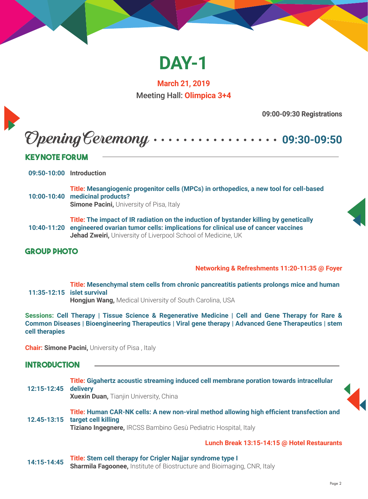

**March 21, 2019** Meeting Hall: **Olimpica 3+4**

**09:00-09:30 Registrations**

# Opening Ceremony **09:30-09:50**

#### **Keynote Forum**

**09:50-10:00 Introduction**

**10:00-10:40 medicinal products? Title: Mesangiogenic progenitor cells (MPCs) in orthopedics, a new tool for cell-based Simone Pacini, University of Pisa, Italy** 

**Title: The impact of IR radiation on the induction of bystander killing by genetically** 

**10:40-11:20 engineered ovarian tumor cells: implications for clinical use of cancer vaccines Jehad Zweiri,** University of Liverpool School of Medicine, UK

#### **Group Photo**

#### **Networking & Refreshments 11:20-11:35 @ Foyer**

**11:35-12:15 islet survival Title: Mesenchymal stem cells from chronic pancreatitis patients prolongs mice and human** 

**Hongjun Wang,** Medical University of South Carolina, USA

**Sessions: Cell Therapy | Tissue Science & Regenerative Medicine | Cell and Gene Therapy for Rare & Common Diseases | Bioengineering Therapeutics | Viral gene therapy | Advanced Gene Therapeutics | stem cell therapies**

**Chair: Simone Pacini, University of Pisa, Italy** 

#### **Introduction**

| 12:15-12:45 | Title: Gigahertz acoustic streaming induced cell membrane poration towards intracellular<br>delivery<br><b>Xuexin Duan, Tianjin University, China</b>                                            |  |
|-------------|--------------------------------------------------------------------------------------------------------------------------------------------------------------------------------------------------|--|
|             | Title: Human CAR-NK cells: A new non-viral method allowing high efficient transfection and<br>12.45-13:15 target cell killing<br>Tiziano Ingegnere, IRCSS Bambino Gesù Pediatric Hospital, Italy |  |

#### **Lunch Break 13:15-14:15 @ Hotel Restaurants**

**14:15-14:45 Title: Stem cell therapy for Crigler Najjar syndrome type I Sharmila Fagoonee,** Institute of Biostructure and Bioimaging, CNR, Italy